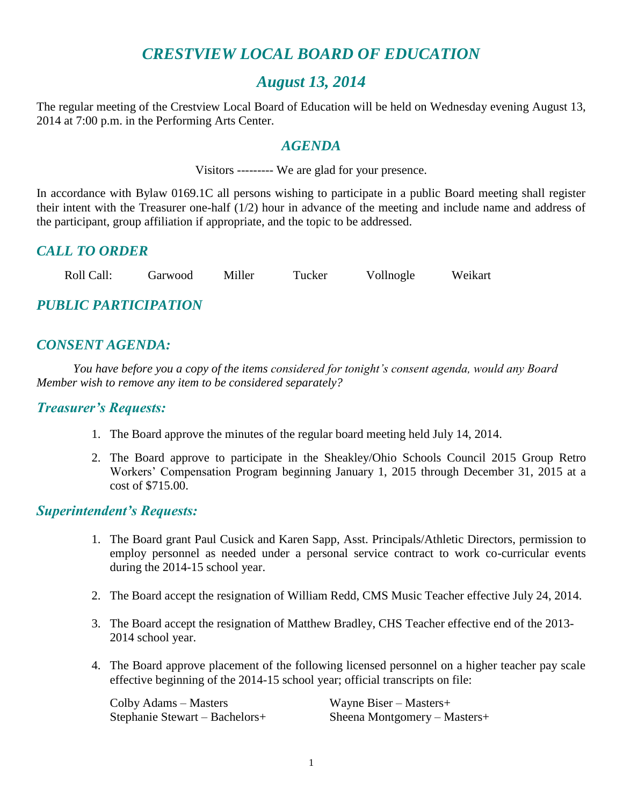## *CRESTVIEW LOCAL BOARD OF EDUCATION*

## *August 13, 2014*

The regular meeting of the Crestview Local Board of Education will be held on Wednesday evening August 13, 2014 at 7:00 p.m. in the Performing Arts Center.

#### *AGENDA*

Visitors --------- We are glad for your presence.

In accordance with Bylaw 0169.1C all persons wishing to participate in a public Board meeting shall register their intent with the Treasurer one-half (1/2) hour in advance of the meeting and include name and address of the participant, group affiliation if appropriate, and the topic to be addressed.

## *CALL TO ORDER*

Roll Call: Garwood Miller Tucker Vollnogle Weikart

## *PUBLIC PARTICIPATION*

## *CONSENT AGENDA:*

*You have before you a copy of the items considered for tonight's consent agenda, would any Board Member wish to remove any item to be considered separately?*

#### *Treasurer's Requests:*

- 1. The Board approve the minutes of the regular board meeting held July 14, 2014.
- 2. The Board approve to participate in the Sheakley/Ohio Schools Council 2015 Group Retro Workers' Compensation Program beginning January 1, 2015 through December 31, 2015 at a cost of \$715.00.

#### *Superintendent's Requests:*

- 1. The Board grant Paul Cusick and Karen Sapp, Asst. Principals/Athletic Directors, permission to employ personnel as needed under a personal service contract to work co-curricular events during the 2014-15 school year.
- 2. The Board accept the resignation of William Redd, CMS Music Teacher effective July 24, 2014.
- 3. The Board accept the resignation of Matthew Bradley, CHS Teacher effective end of the 2013- 2014 school year.
- 4. The Board approve placement of the following licensed personnel on a higher teacher pay scale effective beginning of the 2014-15 school year; official transcripts on file:

Colby Adams – Masters Wayne Biser – Masters+

Stephanie Stewart – Bachelors+ Sheena Montgomery – Masters+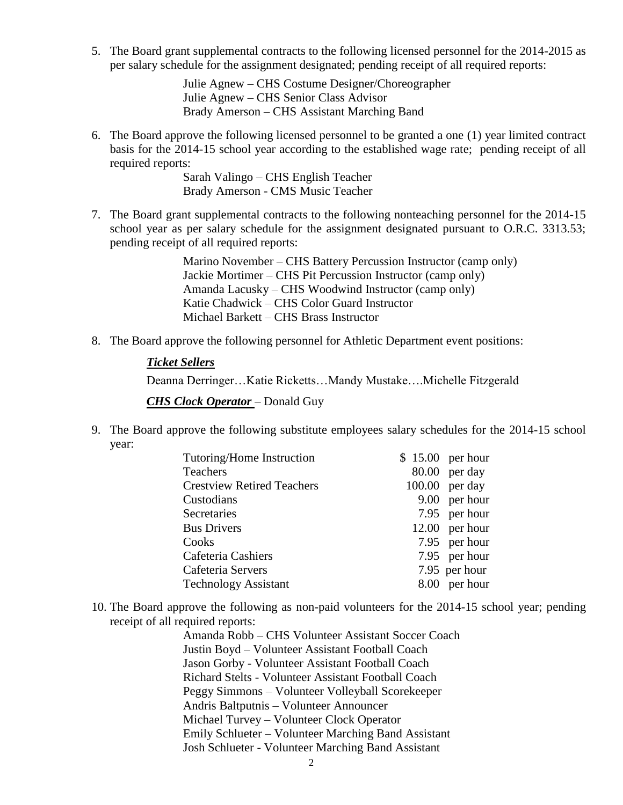5. The Board grant supplemental contracts to the following licensed personnel for the 2014-2015 as per salary schedule for the assignment designated; pending receipt of all required reports:

> Julie Agnew – CHS Costume Designer/Choreographer Julie Agnew – CHS Senior Class Advisor Brady Amerson – CHS Assistant Marching Band

6. The Board approve the following licensed personnel to be granted a one (1) year limited contract basis for the 2014-15 school year according to the established wage rate; pending receipt of all required reports:

> Sarah Valingo – CHS English Teacher Brady Amerson - CMS Music Teacher

7. The Board grant supplemental contracts to the following nonteaching personnel for the 2014-15 school year as per salary schedule for the assignment designated pursuant to O.R.C. 3313.53; pending receipt of all required reports:

> Marino November – CHS Battery Percussion Instructor (camp only) Jackie Mortimer – CHS Pit Percussion Instructor (camp only) Amanda Lacusky – CHS Woodwind Instructor (camp only) Katie Chadwick – CHS Color Guard Instructor Michael Barkett – CHS Brass Instructor

8. The Board approve the following personnel for Athletic Department event positions:

#### *Ticket Sellers*

Deanna Derringer…Katie Ricketts…Mandy Mustake….Michelle Fitzgerald

*CHS Clock Operator* – Donald Guy

9. The Board approve the following substitute employees salary schedules for the 2014-15 school year:

| Tutoring/Home Instruction         | $$15.00$ per hour |
|-----------------------------------|-------------------|
| Teachers                          | $80.00$ per day   |
| <b>Crestview Retired Teachers</b> | $100.00$ per day  |
| Custodians                        | 9.00 per hour     |
| Secretaries                       | 7.95 per hour     |
| <b>Bus Drivers</b>                | $12.00$ per hour  |
| Cooks                             | 7.95 per hour     |
| Cafeteria Cashiers                | 7.95 per hour     |
| Cafeteria Servers                 | 7.95 per hour     |
| <b>Technology Assistant</b>       | 8.00 per hour     |

10. The Board approve the following as non-paid volunteers for the 2014-15 school year; pending receipt of all required reports:

> Amanda Robb – CHS Volunteer Assistant Soccer Coach Justin Boyd – Volunteer Assistant Football Coach Jason Gorby - Volunteer Assistant Football Coach Richard Stelts - Volunteer Assistant Football Coach Peggy Simmons – Volunteer Volleyball Scorekeeper Andris Baltputnis – Volunteer Announcer Michael Turvey – Volunteer Clock Operator Emily Schlueter – Volunteer Marching Band Assistant Josh Schlueter - Volunteer Marching Band Assistant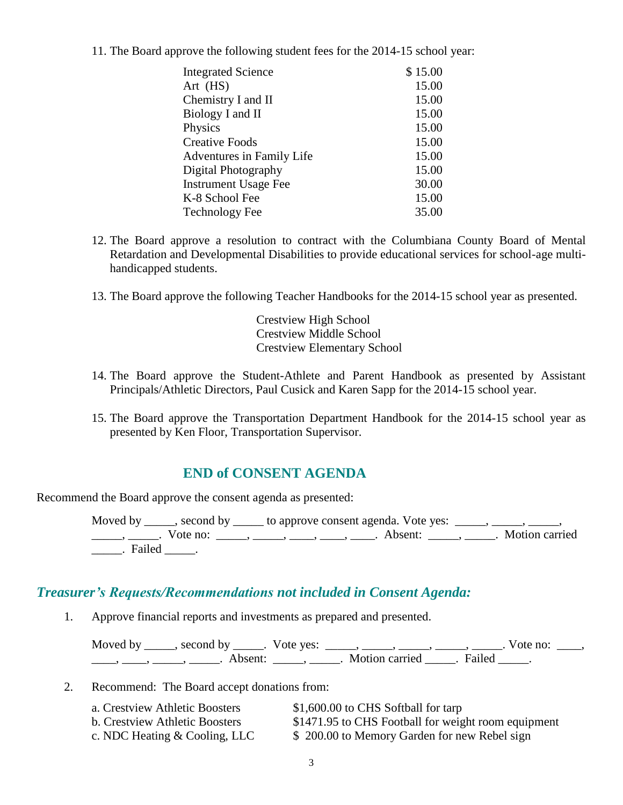11. The Board approve the following student fees for the 2014-15 school year:

| <b>Integrated Science</b>   | \$15.00 |
|-----------------------------|---------|
| Art (HS)                    | 15.00   |
| Chemistry I and II          | 15.00   |
| Biology I and II            | 15.00   |
| Physics                     | 15.00   |
| <b>Creative Foods</b>       | 15.00   |
| Adventures in Family Life   | 15.00   |
| Digital Photography         | 15.00   |
| <b>Instrument Usage Fee</b> | 30.00   |
| K-8 School Fee              | 15.00   |
| <b>Technology Fee</b>       | 35.00   |

- 12. The Board approve a resolution to contract with the Columbiana County Board of Mental Retardation and Developmental Disabilities to provide educational services for school-age multihandicapped students.
- 13. The Board approve the following Teacher Handbooks for the 2014-15 school year as presented.

Crestview High School Crestview Middle School Crestview Elementary School

- 14. The Board approve the Student-Athlete and Parent Handbook as presented by Assistant Principals/Athletic Directors, Paul Cusick and Karen Sapp for the 2014-15 school year.
- 15. The Board approve the Transportation Department Handbook for the 2014-15 school year as presented by Ken Floor, Transportation Supervisor.

### **END of CONSENT AGENDA**

Recommend the Board approve the consent agenda as presented:

Moved by \_\_\_\_\_, second by \_\_\_\_\_ to approve consent agenda. Vote yes: \_\_\_\_\_, \_\_\_\_\_, \_\_\_\_\_, \_\_\_\_\_\_, \_\_\_\_\_\_. Vote no: \_\_\_\_\_\_, \_\_\_\_\_, \_\_\_\_\_, \_\_\_\_\_, \_\_\_\_\_. Absent: \_\_\_\_\_\_, \_\_\_\_\_. Motion carried \_\_\_\_\_. Failed \_\_\_\_\_.

#### *Treasurer's Requests/Recommendations not included in Consent Agenda:*

1. Approve financial reports and investments as prepared and presented.

Moved by \_\_\_\_\_, second by \_\_\_\_\_. Vote yes:  $\_\_\_\_\_\_\_\_\_\_\_\_\_\_\_$  \_\_\_\_\_, \_\_\_\_\_, \_\_\_\_\_. Vote no:  $\_\_\_\_\_\_\$ \_\_\_\_\_, \_\_\_\_\_\_, \_\_\_\_\_\_\_. Absent: \_\_\_\_\_\_, \_\_\_\_\_\_. Motion carried \_\_\_\_\_\_. Failed \_\_\_\_\_.

2. Recommend: The Board accept donations from:

| a. Crestview Athletic Boosters        | \$1,600.00 to CHS Softball for tarp                 |
|---------------------------------------|-----------------------------------------------------|
| <b>b. Crestview Athletic Boosters</b> | \$1471.95 to CHS Football for weight room equipment |
| c. NDC Heating & Cooling, LLC         | \$200.00 to Memory Garden for new Rebel sign        |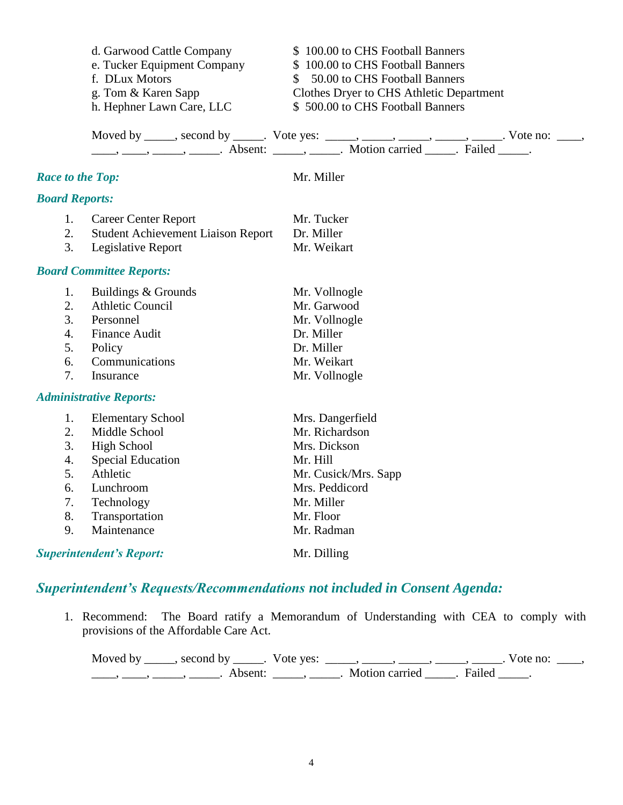|                         | d. Garwood Cattle Company                 | \$100.00 to CHS Football Banners                                                        |  |  |
|-------------------------|-------------------------------------------|-----------------------------------------------------------------------------------------|--|--|
|                         | e. Tucker Equipment Company               | \$100.00 to CHS Football Banners                                                        |  |  |
|                         | f. DLux Motors                            | 50.00 to CHS Football Banners<br>$\mathbb{S}$                                           |  |  |
|                         | g. Tom & Karen Sapp                       | Clothes Dryer to CHS Athletic Department                                                |  |  |
|                         | h. Hephner Lawn Care, LLC                 | \$500.00 to CHS Football Banners                                                        |  |  |
|                         |                                           | Moved by _____, second by _____. Vote yes: _____, ____, ____, ____, ____, Vote no: ___, |  |  |
| <b>Race to the Top:</b> |                                           | Mr. Miller                                                                              |  |  |
| <b>Board Reports:</b>   |                                           |                                                                                         |  |  |
| 1.                      | <b>Career Center Report</b>               | Mr. Tucker                                                                              |  |  |
| 2.                      | <b>Student Achievement Liaison Report</b> | Dr. Miller                                                                              |  |  |
| 3.                      | Legislative Report                        | Mr. Weikart                                                                             |  |  |
|                         | <b>Board Committee Reports:</b>           |                                                                                         |  |  |
| 1.                      | Buildings & Grounds                       | Mr. Vollnogle                                                                           |  |  |
| 2.                      | <b>Athletic Council</b>                   | Mr. Garwood                                                                             |  |  |
| 3.                      | Personnel                                 | Mr. Vollnogle                                                                           |  |  |
| 4.                      | <b>Finance Audit</b>                      | Dr. Miller                                                                              |  |  |
| 5.                      | Policy                                    | Dr. Miller                                                                              |  |  |
| 6.                      | Communications                            | Mr. Weikart                                                                             |  |  |
| 7.                      | Insurance                                 | Mr. Vollnogle                                                                           |  |  |
|                         | <b>Administrative Reports:</b>            |                                                                                         |  |  |
| 1.                      | <b>Elementary School</b>                  | Mrs. Dangerfield                                                                        |  |  |
| 2.                      | Middle School                             | Mr. Richardson                                                                          |  |  |
| 3.                      | <b>High School</b>                        | Mrs. Dickson                                                                            |  |  |
| 4.                      | <b>Special Education</b>                  | Mr. Hill                                                                                |  |  |
| 5.                      | Athletic                                  | Mr. Cusick/Mrs. Sapp                                                                    |  |  |
| 6.                      | Lunchroom                                 | Mrs. Peddicord                                                                          |  |  |
| 7.                      | Technology                                | Mr. Miller                                                                              |  |  |
| 8.                      | Transportation                            | Mr. Floor                                                                               |  |  |
| 9.                      | Maintenance                               | Mr. Radman                                                                              |  |  |
|                         | <b>Superintendent's Report:</b>           | Mr. Dilling                                                                             |  |  |

## *Superintendent's Requests/Recommendations not included in Consent Agenda:*

1. Recommend: The Board ratify a Memorandum of Understanding with CEA to comply with provisions of the Affordable Care Act.

| Moved by ______, second by ______. Vote yes: | $\sim$ $\sim$ $\sim$ $\sim$ $\sim$ $\sim$ $\sim$ | Vote no: |  |
|----------------------------------------------|--------------------------------------------------|----------|--|
| Absent:                                      | Motion carried . Failed                          |          |  |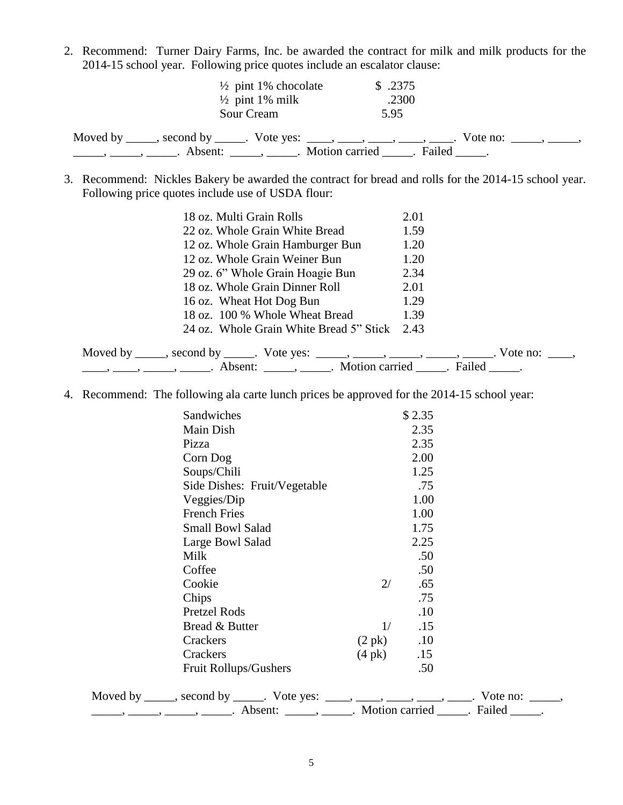2. Recommend: Turner Dairy Farms, Inc. be awarded the contract for milk and milk products for the 2014-15 school year. Following price quotes include an escalator clause:

| $\frac{1}{2}$ pint 1% chocolate<br>$\frac{1}{2}$ pint 1% milk                        | \$.2375<br>.2300      |                                              |
|--------------------------------------------------------------------------------------|-----------------------|----------------------------------------------|
| Sour Cream                                                                           | 5.95                  |                                              |
| Moved by _____, second by _____. Vote yes: ____, ____, ____, ____, _____.<br>Absent: | Motion carried Failed | Vote no: $\qquad \qquad$ , $\qquad \qquad$ , |

3. Recommend: Nickles Bakery be awarded the contract for bread and rolls for the 2014-15 school year. Following price quotes include use of USDA flour:

| 18 oz. Multi Grain Rolls                                                                                                                                                                                                           | 2.01            |
|------------------------------------------------------------------------------------------------------------------------------------------------------------------------------------------------------------------------------------|-----------------|
| 22 oz. Whole Grain White Bread                                                                                                                                                                                                     | 1.59            |
| 12 oz. Whole Grain Hamburger Bun                                                                                                                                                                                                   | 1.20            |
| 12 oz. Whole Grain Weiner Bun                                                                                                                                                                                                      | 1.20            |
| 29 oz. 6" Whole Grain Hoagie Bun                                                                                                                                                                                                   | 2.34            |
| 18 oz. Whole Grain Dinner Roll                                                                                                                                                                                                     | 2.01            |
| 16 oz. Wheat Hot Dog Bun                                                                                                                                                                                                           | 1.29            |
| 18 oz. 100 % Whole Wheat Bread                                                                                                                                                                                                     | 1.39            |
| 24 oz. Whole Grain White Bread 5" Stick                                                                                                                                                                                            | 2.43            |
| Moved by ______, second by ______. Vote yes: ______, _____, ______, ______, ______                                                                                                                                                 | Vote no: $\_\_$ |
| <u>(e)</u> metal metal metal metal metal metal metal metal metal metal metal metal metal metal metal metal metal metal metal metal metal metal metal metal metal metal metal metal metal metal metal metal metal metal metal metal |                 |

4. Recommend: The following ala carte lunch prices be approved for the 2014-15 school year:

| Sandwiches                                                                               |                  | \$2.35 |  |
|------------------------------------------------------------------------------------------|------------------|--------|--|
| Main Dish                                                                                |                  | 2.35   |  |
| Pizza                                                                                    |                  | 2.35   |  |
| Corn Dog                                                                                 |                  | 2.00   |  |
| Soups/Chili                                                                              |                  | 1.25   |  |
| Side Dishes: Fruit/Vegetable                                                             |                  | .75    |  |
| Veggies/Dip                                                                              |                  | 1.00   |  |
| <b>French Fries</b>                                                                      |                  | 1.00   |  |
| Small Bowl Salad                                                                         |                  | 1.75   |  |
| Large Bowl Salad                                                                         |                  | 2.25   |  |
| Milk                                                                                     |                  | .50    |  |
| Coffee                                                                                   |                  | .50    |  |
| Cookie                                                                                   | 2/               | .65    |  |
| Chips                                                                                    |                  | .75    |  |
| Pretzel Rods                                                                             |                  | .10    |  |
| Bread & Butter                                                                           | 1/               | .15    |  |
| Crackers                                                                                 | $(2 \text{ pk})$ | .10    |  |
| Crackers                                                                                 | $(4 \text{ pk})$ | .15    |  |
| Fruit Rollups/Gushers                                                                    |                  | .50    |  |
| Moved by _____, second by _____. Vote yes: ____, ____, ____, ____, ____. Vote no: _____, |                  |        |  |